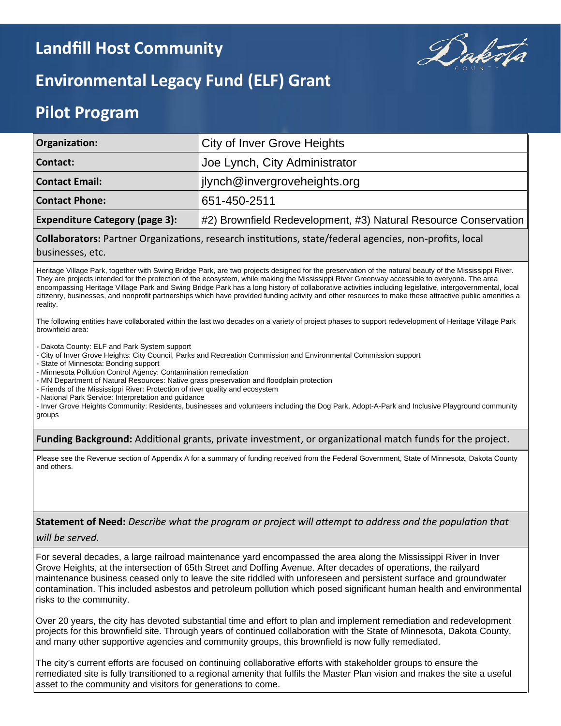## **Landfill Host Community**



# **Environmental Legacy Fund (ELF) Grant**

## **Pilot Program**

| Organization:                         | <b>City of Inver Grove Heights</b>                              |  |  |  |
|---------------------------------------|-----------------------------------------------------------------|--|--|--|
| Contact:                              | Joe Lynch, City Administrator                                   |  |  |  |
| <b>Contact Email:</b>                 | ilynch@invergroveheights.org                                    |  |  |  |
| <b>Contact Phone:</b>                 | 651-450-2511                                                    |  |  |  |
| <b>Expenditure Category (page 3):</b> | #2) Brownfield Redevelopment, #3) Natural Resource Conservation |  |  |  |

**Collaborators:** Partner Organizations, research institutions, state/federal agencies, non-profits, local

businesses, etc.

Heritage Village Park, together with Swing Bridge Park, are two projects designed for the preservation of the natural beauty of the Mississippi River. They are projects intended for the protection of the ecosystem, while making the Mississippi River Greenway accessible to everyone. The area encompassing Heritage Village Park and Swing Bridge Park has a long history of collaborative activities including legislative, intergovernmental, local citizenry, businesses, and nonprofit partnerships which have provided funding activity and other resources to make these attractive public amenities a reality.

The following entities have collaborated within the last two decades on a variety of project phases to support redevelopment of Heritage Village Park brownfield area:

- Dakota County: ELF and Park System support

- City of Inver Grove Heights: City Council, Parks and Recreation Commission and Environmental Commission support

- State of Minnesota: Bonding support

- Minnesota Pollution Control Agency: Contamination remediation

- MN Department of Natural Resources: Native grass preservation and floodplain protection

- Friends of the Mississippi River: Protection of river quality and ecosystem

- National Park Service: Interpretation and guidance

- Inver Grove Heights Community: Residents, businesses and volunteers including the Dog Park, Adopt-A-Park and Inclusive Playground community groups

**Funding Background:** Additional grants, private investment, or organizational match funds for the project.

Please see the Revenue section of Appendix A for a summary of funding received from the Federal Government, State of Minnesota, Dakota County and others.

**Statement of Need:** *Describe what the program or project will attempt to address and the population that* 

*will be served.* 

For several decades, a large railroad maintenance yard encompassed the area along the Mississippi River in Inver Grove Heights, at the intersection of 65th Street and Doffing Avenue. After decades of operations, the railyard maintenance business ceased only to leave the site riddled with unforeseen and persistent surface and groundwater contamination. This included asbestos and petroleum pollution which posed significant human health and environmental risks to the community.

Over 20 years, the city has devoted substantial time and effort to plan and implement remediation and redevelopment projects for this brownfield site. Through years of continued collaboration with the State of Minnesota, Dakota County, and many other supportive agencies and community groups, this brownfield is now fully remediated.

The city's current efforts are focused on continuing collaborative efforts with stakeholder groups to ensure the remediated site is fully transitioned to a regional amenity that fulfils the Master Plan vision and makes the site a useful asset to the community and visitors for generations to come.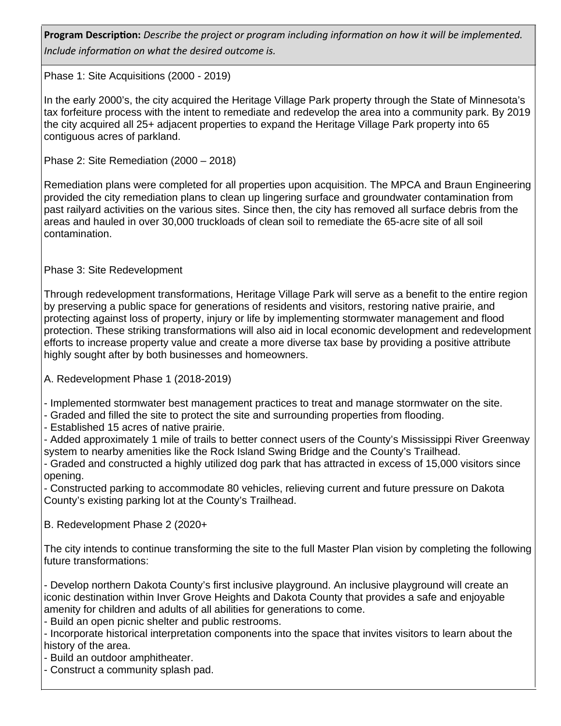**Program Description:** *Describe the project or program including information on how it will be implemented. Include information on what the desired outcome is.* 

Phase 1: Site Acquisitions (2000 - 2019)

In the early 2000's, the city acquired the Heritage Village Park property through the State of Minnesota's tax forfeiture process with the intent to remediate and redevelop the area into a community park. By 2019 the city acquired all 25+ adjacent properties to expand the Heritage Village Park property into 65 contiguous acres of parkland.

Phase 2: Site Remediation (2000 – 2018)

Remediation plans were completed for all properties upon acquisition. The MPCA and Braun Engineering provided the city remediation plans to clean up lingering surface and groundwater contamination from past railyard activities on the various sites. Since then, the city has removed all surface debris from the areas and hauled in over 30,000 truckloads of clean soil to remediate the 65-acre site of all soil contamination.

Phase 3: Site Redevelopment

Through redevelopment transformations, Heritage Village Park will serve as a benefit to the entire region by preserving a public space for generations of residents and visitors, restoring native prairie, and protecting against loss of property, injury or life by implementing stormwater management and flood protection. These striking transformations will also aid in local economic development and redevelopment efforts to increase property value and create a more diverse tax base by providing a positive attribute highly sought after by both businesses and homeowners.

A. Redevelopment Phase 1 (2018-2019)

- Implemented stormwater best management practices to treat and manage stormwater on the site.

- Graded and filled the site to protect the site and surrounding properties from flooding.

- Established 15 acres of native prairie.

- Added approximately 1 mile of trails to better connect users of the County's Mississippi River Greenway system to nearby amenities like the Rock Island Swing Bridge and the County's Trailhead.

- Graded and constructed a highly utilized dog park that has attracted in excess of 15,000 visitors since opening.

- Constructed parking to accommodate 80 vehicles, relieving current and future pressure on Dakota County's existing parking lot at the County's Trailhead.

B. Redevelopment Phase 2 (2020+

The city intends to continue transforming the site to the full Master Plan vision by completing the following future transformations:

- Develop northern Dakota County's first inclusive playground. An inclusive playground will create an iconic destination within Inver Grove Heights and Dakota County that provides a safe and enjoyable amenity for children and adults of all abilities for generations to come.

- Build an open picnic shelter and public restrooms.

- Incorporate historical interpretation components into the space that invites visitors to learn about the history of the area.

- Build an outdoor amphitheater.

- Construct a community splash pad.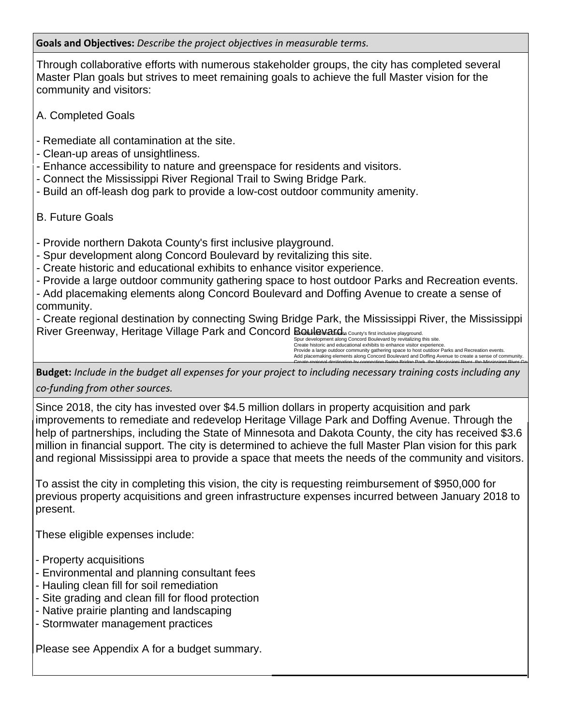**Goals and Objectives:** *Describe the project objectives in measurable terms.*

Through collaborative efforts with numerous stakeholder groups, the city has completed several Master Plan goals but strives to meet remaining goals to achieve the full Master vision for the community and visitors:

A. Completed Goals

- Remediate all contamination at the site.
- Clean-up areas of unsightliness.
- Enhance accessibility to nature and greenspace for residents and visitors.
- Connect the Mississippi River Regional Trail to Swing Bridge Park.
- Build an off-leash dog park to provide a low-cost outdoor community amenity.

### B. Future Goals

- Provide northern Dakota County's first inclusive playground.

- Spur development along Concord Boulevard by revitalizing this site.
- Create historic and educational exhibits to enhance visitor experience.
- Provide a large outdoor community gathering space to host outdoor Parks and Recreation events.

- Add placemaking elements along Concord Boulevard and Doffing Avenue to create a sense of community.

- Create regional destination by connecting Swing Bridge Park, the Mississippi River, the Mississippi River Greenway, Heritage Village Park and Concord Boulevard. County's first inclusive p

Spur development along Concord Boulevard by revitalizing this site. Create historic and educational exhibits to enhance visitor experience. Provide a large outdoor community gathering space to host outdoor Parks and Recreation events. Add placemaking elements along Concord Boulevard and Doffing Avenue to create a sense of community.

Create regional destination by connecting Swing Bridge Park, the Mississippi River, the Mississippi River Greenway, Heritage Village Park and Concord Boulevard. Provide northern Dakota County's first inclusive playground.

**Budget:** *Include in the budget all expenses for your project to including necessary training costs including any co-funding from other sources.* 

Since 2018, the city has invested over \$4.5 million dollars in property acquisition and park improvements to remediate and redevelop Heritage Village Park and Doffing Avenue. Through the help of partnerships, including the State of Minnesota and Dakota County, the city has received \$3.6 million in financial support. The city is determined to achieve the full Master Plan vision for this park and regional Mississippi area to provide a space that meets the needs of the community and visitors.

To assist the city in completing this vision, the city is requesting reimbursement of \$950,000 for previous property acquisitions and green infrastructure expenses incurred between January 2018 to present.

These eligible expenses include:

- Property acquisitions
- Environmental and planning consultant fees
- Hauling clean fill for soil remediation
- Site grading and clean fill for flood protection
- Native prairie planting and landscaping
- Stormwater management practices

Please see Appendix A for a budget summary.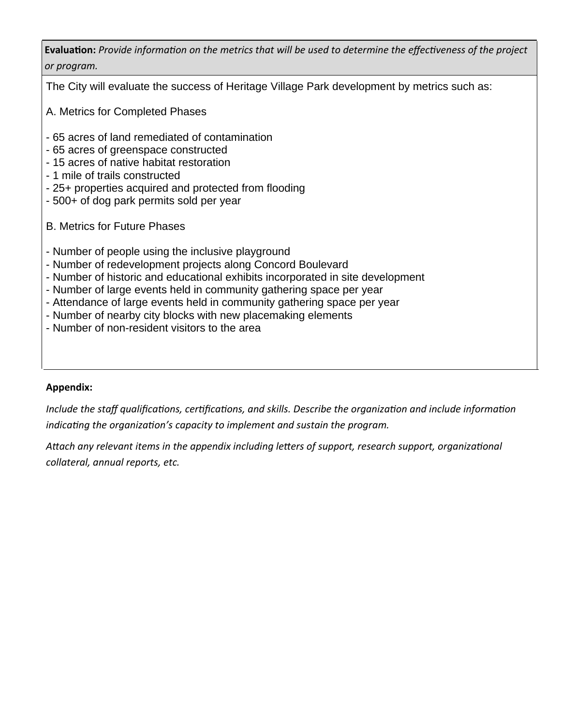**Evaluation:** *Provide information on the metrics that will be used to determine the effectiveness of the project or program.*

The City will evaluate the success of Heritage Village Park development by metrics such as:

- A. Metrics for Completed Phases
- 65 acres of land remediated of contamination
- 65 acres of greenspace constructed
- 15 acres of native habitat restoration
- 1 mile of trails constructed
- 25+ properties acquired and protected from flooding
- 500+ of dog park permits sold per year
- B. Metrics for Future Phases
- Number of people using the inclusive playground
- Number of redevelopment projects along Concord Boulevard
- Number of historic and educational exhibits incorporated in site development
- Number of large events held in community gathering space per year
- Attendance of large events held in community gathering space per year
- Number of nearby city blocks with new placemaking elements
- Number of non-resident visitors to the area

### **Appendix:**

*Include the staff qualifications, certifications, and skills. Describe the organization and include information indicating the organization's capacity to implement and sustain the program.* 

*Attach any relevant items in the appendix including letters of support, research support, organizational collateral, annual reports, etc.*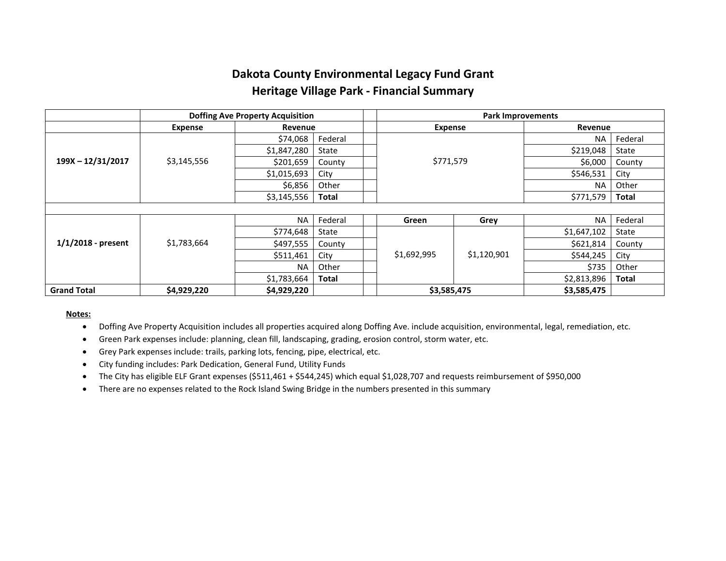## **Dakota County Environmental Legacy Fund Grant Heritage Village Park - Financial Summary**

|                      | <b>Doffing Ave Property Acquisition</b> |             |              | <b>Park Improvements</b> |             |             |              |  |  |
|----------------------|-----------------------------------------|-------------|--------------|--------------------------|-------------|-------------|--------------|--|--|
|                      | <b>Expense</b>                          | Revenue     |              | <b>Expense</b>           |             | Revenue     |              |  |  |
| 199X - 12/31/2017    | \$3,145,556                             | \$74,068    | Federal      |                          |             | <b>NA</b>   | Federal      |  |  |
|                      |                                         | \$1,847,280 | State        |                          |             | \$219,048   | State        |  |  |
|                      |                                         | \$201,659   | County       | \$771,579                | \$6,000     | County      |              |  |  |
|                      |                                         | \$1,015,693 | City         |                          |             |             | City         |  |  |
|                      |                                         | \$6,856     | Other        |                          |             |             | Other        |  |  |
|                      |                                         | \$3,145,556 | <b>Total</b> |                          |             | \$771,579   | <b>Total</b> |  |  |
|                      |                                         |             |              |                          |             |             |              |  |  |
| $1/1/2018$ - present | \$1,783,664                             | <b>NA</b>   | Federal      | Green                    | Grey        | <b>NA</b>   | Federal      |  |  |
|                      |                                         | \$774,648   | State        |                          | \$1,120,901 | \$1,647,102 | State        |  |  |
|                      |                                         | \$497,555   | County       |                          |             | \$621,814   | County       |  |  |
|                      |                                         | \$511,461   | City         | \$1,692,995              |             | \$544,245   | City         |  |  |
|                      |                                         | <b>NA</b>   | Other        |                          |             | \$735       | Other        |  |  |
|                      |                                         | \$1,783,664 | <b>Total</b> |                          |             | \$2,813,896 | <b>Total</b> |  |  |
| <b>Grand Total</b>   | \$4,929,220                             | \$4,929,220 |              |                          | \$3,585,475 |             |              |  |  |

#### **Notes:**

- Doffing Ave Property Acquisition includes all properties acquired along Doffing Ave. include acquisition, environmental, legal, remediation, etc.
- Green Park expenses include: planning, clean fill, landscaping, grading, erosion control, storm water, etc.
- Grey Park expenses include: trails, parking lots, fencing, pipe, electrical, etc.
- City funding includes: Park Dedication, General Fund, Utility Funds
- The City has eligible ELF Grant expenses (\$511,461 + \$544,245) which equal \$1,028,707 and requests reimbursement of \$950,000
- There are no expenses related to the Rock Island Swing Bridge in the numbers presented in this summary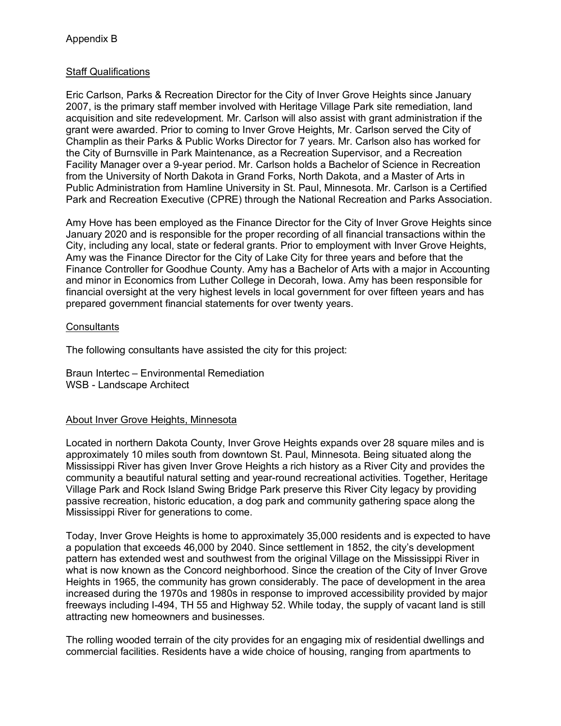### Staff Qualifications

Eric Carlson, Parks & Recreation Director for the City of Inver Grove Heights since January 2007, is the primary staff member involved with Heritage Village Park site remediation, land acquisition and site redevelopment. Mr. Carlson will also assist with grant administration if the grant were awarded. Prior to coming to Inver Grove Heights, Mr. Carlson served the City of Champlin as their Parks & Public Works Director for 7 years. Mr. Carlson also has worked for the City of Burnsville in Park Maintenance, as a Recreation Supervisor, and a Recreation Facility Manager over a 9-year period. Mr. Carlson holds a Bachelor of Science in Recreation from the University of North Dakota in Grand Forks, North Dakota, and a Master of Arts in Public Administration from Hamline University in St. Paul, Minnesota. Mr. Carlson is a Certified Park and Recreation Executive (CPRE) through the National Recreation and Parks Association.

Amy Hove has been employed as the Finance Director for the City of Inver Grove Heights since January 2020 and is responsible for the proper recording of all financial transactions within the City, including any local, state or federal grants. Prior to employment with Inver Grove Heights, Amy was the Finance Director for the City of Lake City for three years and before that the Finance Controller for Goodhue County. Amy has a Bachelor of Arts with a major in Accounting and minor in Economics from Luther College in Decorah, Iowa. Amy has been responsible for financial oversight at the very highest levels in local government for over fifteen years and has prepared government financial statements for over twenty years.

### **Consultants**

The following consultants have assisted the city for this project:

Braun Intertec – Environmental Remediation WSB - Landscape Architect

### About Inver Grove Heights, Minnesota

Located in northern Dakota County, Inver Grove Heights expands over 28 square miles and is approximately 10 miles south from downtown St. Paul, Minnesota. Being situated along the Mississippi River has given Inver Grove Heights a rich history as a River City and provides the community a beautiful natural setting and year-round recreational activities. Together, Heritage Village Park and Rock Island Swing Bridge Park preserve this River City legacy by providing passive recreation, historic education, a dog park and community gathering space along the Mississippi River for generations to come.

Today, Inver Grove Heights is home to approximately 35,000 residents and is expected to have a population that exceeds 46,000 by 2040. Since settlement in 1852, the city's development pattern has extended west and southwest from the original Village on the Mississippi River in what is now known as the Concord neighborhood. Since the creation of the City of Inver Grove Heights in 1965, the community has grown considerably. The pace of development in the area increased during the 1970s and 1980s in response to improved accessibility provided by major freeways including I-494, TH 55 and Highway 52. While today, the supply of vacant land is still attracting new homeowners and businesses.

The rolling wooded terrain of the city provides for an engaging mix of residential dwellings and commercial facilities. Residents have a wide choice of housing, ranging from apartments to